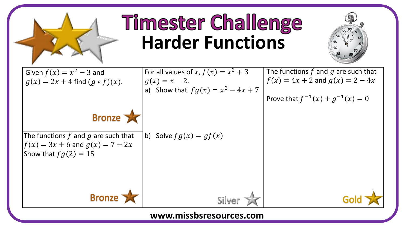

## **Timester Challenge Harder Functions**